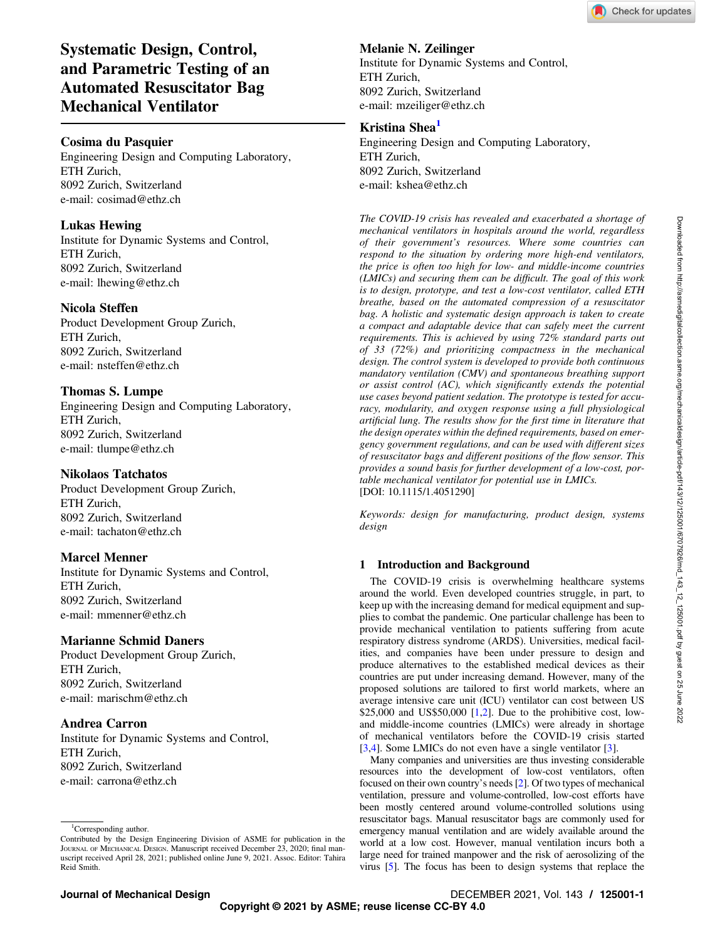

# Systematic Design, Control, and Parametric Testing of an Automated Resuscitator Bag Mechanical Ventilator

## Cosima du Pasquier

Engineering Design and Computing Laboratory, ETH Zurich, 8092 Zurich, Switzerland e-mail: [cosimad@ethz.ch](mailto:cosimad@ethz.ch)

## Lukas Hewing

Institute for Dynamic Systems and Control, ETH Zurich, 8092 Zurich, Switzerland e-mail: [lhewing@ethz.ch](mailto:lhewing@ethz.ch)

## Nicola Steffen

Product Development Group Zurich, ETH Zurich, 8092 Zurich, Switzerland e-mail: [nsteffen@ethz.ch](mailto:nsteffen@ethz.ch)

## Thomas S. Lumpe

Engineering Design and Computing Laboratory, ETH Zurich, 8092 Zurich, Switzerland e-mail: [tlumpe@ethz.ch](mailto:tlumpe@ethz.ch)

## Nikolaos Tatchatos

Product Development Group Zurich, ETH Zurich, 8092 Zurich, Switzerland e-mail: [tachaton@ethz.ch](mailto:tachaton@ethz.ch)

## Marcel Menner

Institute for Dynamic Systems and Control, ETH Zurich, 8092 Zurich, Switzerland e-mail: [mmenner@ethz.ch](mailto:mmenner@ethz.ch)

## Marianne Schmid Daners

Product Development Group Zurich, ETH Zurich, 8092 Zurich, Switzerland e-mail: [marischm@ethz.ch](mailto:marischm@ethz.ch)

## Andrea Carron

Institute for Dynamic Systems and Control, ETH Zurich, 8092 Zurich, Switzerland e-mail: [carrona@ethz.ch](mailto:carrona@ethz.ch)

#### <sup>1</sup>Corresponding author. Contributed by the Design Engineering Division of ASME for publication in the JOURNAL OF MECHANICAL DESIGN. Manuscript received December 23, 2020; final manuscript received April 28, 2021; published online June 9, 2021. Assoc. Editor: Tahira Reid Smith.

## Melanie N. Zeilinger

Institute for Dynamic Systems and Control, ETH Zurich, 8092 Zurich, Switzerland e-mail: [mzeiliger@ethz.ch](mailto:mzeiliger@ethz.ch)

#### Kristina Shea<sup>1</sup>

Engineering Design and Computing Laboratory, ETH Zurich, 8092 Zurich, Switzerland e-mail: [kshea@ethz.ch](mailto:kshea@ethz.ch)

The COVID-19 crisis has revealed and exacerbated a shortage of mechanical ventilators in hospitals around the world, regardless of their government's resources. Where some countries can respond to the situation by ordering more high-end ventilators, the price is often too high for low- and middle-income countries (LMICs) and securing them can be difficult. The goal of this work is to design, prototype, and test a low-cost ventilator, called ETH breathe, based on the automated compression of a resuscitator bag. A holistic and systematic design approach is taken to create a compact and adaptable device that can safely meet the current requirements. This is achieved by using 72% standard parts out of 33 (72%) and prioritizing compactness in the mechanical design. The control system is developed to provide both continuous mandatory ventilation (CMV) and spontaneous breathing support or assist control (AC), which significantly extends the potential use cases beyond patient sedation. The prototype is tested for accuracy, modularity, and oxygen response using a full physiological artificial lung. The results show for the first time in literature that the design operates within the defined requirements, based on emergency government regulations, and can be used with different sizes of resuscitator bags and different positions of the flow sensor. This provides a sound basis for further development of a low-cost, portable mechanical ventilator for potential use in LMICs. [DOI: 10.1115/1.4051290]

Keywords: design for manufacturing, product design, systems design

### 1 Introduction and Background

The COVID-19 crisis is overwhelming healthcare systems around the world. Even developed countries struggle, in part, to keep up with the increasing demand for medical equipment and supplies to combat the pandemic. One particular challenge has been to provide mechanical ventilation to patients suffering from acute respiratory distress syndrome (ARDS). Universities, medical facilities, and companies have been under pressure to design and produce alternatives to the established medical devices as their countries are put under increasing demand. However, many of the proposed solutions are tailored to first world markets, where an average intensive care unit (ICU) ventilator can cost between US \$[2](#page-10-0)5,000 and US\$50,000  $[1,2]$  $[1,2]$  $[1,2]$ . Due to the prohibitive cost, lowand middle-income countries (LMICs) were already in shortage of mechanical ventilators before the COVID-19 crisis started [[3](#page-10-0),[4](#page-10-0)]. Some LMICs do not even have a single ventilator [3].

Many companies and universities are thus investing considerable resources into the development of low-cost ventilators, often focused on their own country's needs [[2](#page-10-0)]. Of two types of mechanical ventilation, pressure and volume-controlled, low-cost efforts have been mostly centered around volume-controlled solutions using resuscitator bags. Manual resuscitator bags are commonly used for emergency manual ventilation and are widely available around the world at a low cost. However, manual ventilation incurs both a large need for trained manpower and the risk of aerosolizing of the virus [\[5\]](#page-10-0). The focus has been to design systems that replace the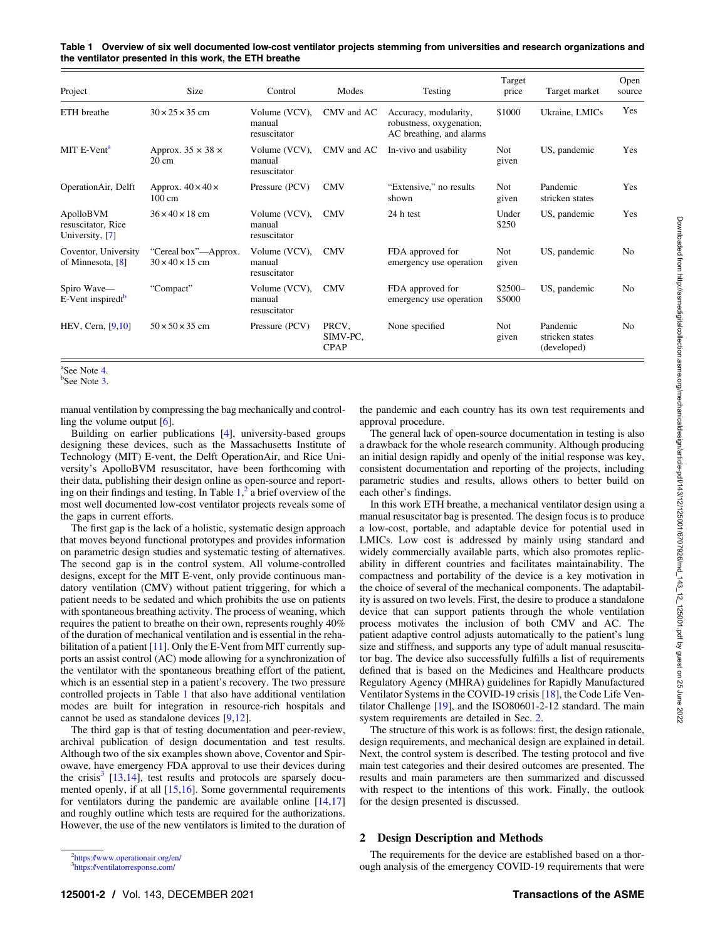Table 1 Overview of six well documented low-cost ventilator projects stemming from universities and research organizations and the ventilator presented in this work, the ETH breathe

| Project                                            | Size                                                | Control                                 | Modes                            | Testing                                                                       | Target<br>price    | Target market                              | Open<br>source |
|----------------------------------------------------|-----------------------------------------------------|-----------------------------------------|----------------------------------|-------------------------------------------------------------------------------|--------------------|--------------------------------------------|----------------|
| ETH breathe                                        | $30 \times 25 \times 35$ cm                         | Volume (VCV),<br>manual<br>resuscitator | CMV and AC                       | Accuracy, modularity,<br>robustness, oxygenation,<br>AC breathing, and alarms | \$1000             | Ukraine, LMICs                             | Yes            |
| MIT E-Vent <sup>a</sup>                            | Approx. $35 \times 38 \times$<br>$20 \text{ cm}$    | Volume (VCV),<br>manual<br>resuscitator | CMV and AC                       | In-vivo and usability                                                         | Not<br>given       | US, pandemic                               | Yes            |
| OperationAir, Delft                                | Approx. $40 \times 40 \times$<br>$100 \text{ cm}$   | Pressure (PCV)                          | <b>CMV</b>                       | "Extensive," no results<br>shown                                              | Not.<br>given      | Pandemic<br>stricken states                | Yes            |
| ApolloBVM<br>resuscitator, Rice<br>University, [7] | $36 \times 40 \times 18$ cm                         | Volume (VCV),<br>manual<br>resuscitator | <b>CMV</b>                       | 24 h test                                                                     | Under<br>\$250     | US, pandemic                               | Yes            |
| Coventor, University<br>of Minnesota, [8]          | "Cereal box"—Approx.<br>$30 \times 40 \times 15$ cm | Volume (VCV),<br>manual<br>resuscitator | <b>CMV</b>                       | FDA approved for<br>emergency use operation                                   | Not<br>given       | US, pandemic                               | N <sub>0</sub> |
| Spiro Wave-<br>E-Vent inspiredt <sup>b</sup>       | "Compact"                                           | Volume (VCV),<br>manual<br>resuscitator | <b>CMV</b>                       | FDA approved for<br>emergency use operation                                   | $$2500-$<br>\$5000 | US, pandemic                               | N <sub>0</sub> |
| $HEV$ , Cern, $[9,10]$                             | $50 \times 50 \times 35$ cm                         | Pressure (PCV)                          | PRCV,<br>SIMV-PC,<br><b>CPAP</b> | None specified                                                                | Not.<br>given      | Pandemic<br>stricken states<br>(developed) | N <sub>0</sub> |

<sup>&</sup>lt;sup>a</sup>See Note 4. <sup>a</sup>See Note 4.<br><sup>b</sup>See Note 3.

manual ventilation by compressing the bag mechanically and controlling the volume output [\[6\]](#page-10-0).

Building on earlier publications [[4](#page-10-0)], university-based groups designing these devices, such as the Massachusetts Institute of Technology (MIT) E-vent, the Delft OperationAir, and Rice University's ApolloBVM resuscitator, have been forthcoming with their data, publishing their design online as open-source and reporting on their findings and testing. In Table  $1<sup>2</sup>$  a brief overview of the most well documented low-cost ventilator projects reveals some of the gaps in current efforts.

The first gap is the lack of a holistic, systematic design approach that moves beyond functional prototypes and provides information on parametric design studies and systematic testing of alternatives. The second gap is in the control system. All volume-controlled designs, except for the MIT E-vent, only provide continuous mandatory ventilation (CMV) without patient triggering, for which a patient needs to be sedated and which prohibits the use on patients with spontaneous breathing activity. The process of weaning, which requires the patient to breathe on their own, represents roughly 40% of the duration of mechanical ventilation and is essential in the reha-bilitation of a patient [[11\]](#page-10-0). Only the E-Vent from MIT currently supports an assist control (AC) mode allowing for a synchronization of the ventilator with the spontaneous breathing effort of the patient, which is an essential step in a patient's recovery. The two pressure controlled projects in Table 1 that also have additional ventilation modes are built for integration in resource-rich hospitals and cannot be used as standalone devices [[9](#page-10-0),[12\]](#page-10-0).

The third gap is that of testing documentation and peer-review, archival publication of design documentation and test results. Although two of the six examples shown above, Coventor and Spirowave, have emergency FDA approval to use their devices during the crisis<sup>3</sup> [\[13,14](#page-10-0)], test results and protocols are sparsely documented openly, if at all [\[15](#page-10-0),[16\]](#page-10-0). Some governmental requirements for ventilators during the pandemic are available online [[14,](#page-10-0)[17](#page-11-0)] and roughly outline which tests are required for the authorizations. However, the use of the new ventilators is limited to the duration of

The general lack of open-source documentation in testing is also a drawback for the whole research community. Although producing an initial design rapidly and openly of the initial response was key, consistent documentation and reporting of the projects, including parametric studies and results, allows others to better build on each other's findings.

In this work ETH breathe, a mechanical ventilator design using a manual resuscitator bag is presented. The design focus is to produce a low-cost, portable, and adaptable device for potential used in LMICs. Low cost is addressed by mainly using standard and widely commercially available parts, which also promotes replicability in different countries and facilitates maintainability. The compactness and portability of the device is a key motivation in the choice of several of the mechanical components. The adaptability is assured on two levels. First, the desire to produce a standalone device that can support patients through the whole ventilation process motivates the inclusion of both CMV and AC. The patient adaptive control adjusts automatically to the patient's lung size and stiffness, and supports any type of adult manual resuscitator bag. The device also successfully fulfills a list of requirements defined that is based on the Medicines and Healthcare products Regulatory Agency (MHRA) guidelines for Rapidly Manufactured Ventilator Systems in the COVID-19 crisis [\[18](#page-11-0)], the Code Life Ventilator Challenge [[19\]](#page-11-0), and the ISO80601-2-12 standard. The main system requirements are detailed in Sec. 2.

The structure of this work is as follows: first, the design rationale, design requirements, and mechanical design are explained in detail. Next, the control system is described. The testing protocol and five main test categories and their desired outcomes are presented. The results and main parameters are then summarized and discussed with respect to the intentions of this work. Finally, the outlook for the design presented is discussed.

#### 2 Design Description and Methods

The requirements for the device are established based on a thorough analysis of the emergency COVID-19 requirements that were

the pandemic and each country has its own test requirements and approval procedure.

<sup>2</sup> [https://www.operationair.org/en/](https://www.operationair.org/en/.)

<sup>3</sup> <https://ventilatorresponse.com/>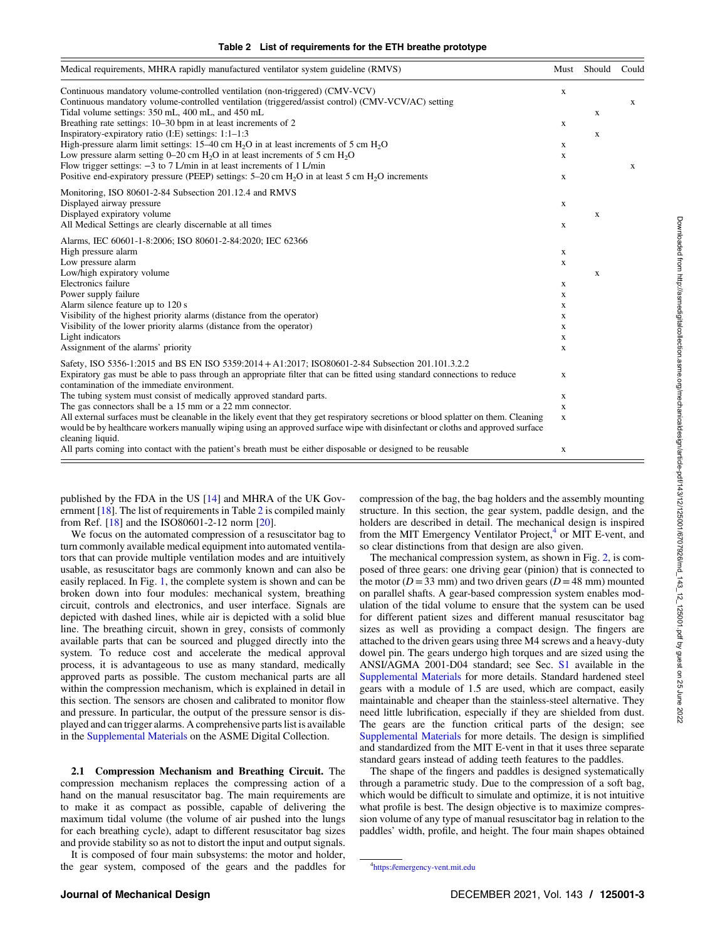<span id="page-2-0"></span>

| Medical requirements, MHRA rapidly manufactured ventilator system guideline (RMVS)                                                                                                                                                                                                         | Must        | Should      | Could        |
|--------------------------------------------------------------------------------------------------------------------------------------------------------------------------------------------------------------------------------------------------------------------------------------------|-------------|-------------|--------------|
| Continuous mandatory volume-controlled ventilation (non-triggered) (CMV-VCV)<br>Continuous mandatory volume-controlled ventilation (triggered/assist control) (CMV-VCV/AC) setting                                                                                                         | $\mathbf X$ |             | $\mathbf{x}$ |
| Tidal volume settings: 350 mL, 400 mL, and 450 mL                                                                                                                                                                                                                                          |             | X           |              |
| Breathing rate settings: 10–30 bpm in at least increments of 2                                                                                                                                                                                                                             | X           |             |              |
| Inspiratory-expiratory ratio $(I.E)$ settings: $1:1-1:3$                                                                                                                                                                                                                                   |             | X           |              |
| High-pressure alarm limit settings: $15-40$ cm H <sub>2</sub> O in at least increments of 5 cm H <sub>2</sub> O                                                                                                                                                                            | X           |             |              |
| Low pressure alarm setting $0-20$ cm $H2O$ in at least increments of 5 cm $H2O$                                                                                                                                                                                                            | X           |             |              |
| Flow trigger settings: $-3$ to 7 L/min in at least increments of 1 L/min                                                                                                                                                                                                                   |             |             | $\mathbf{x}$ |
| Positive end-expiratory pressure (PEEP) settings: $5-20$ cm $H_2O$ in at least 5 cm $H_2O$ increments                                                                                                                                                                                      | $\mathbf x$ |             |              |
| Monitoring, ISO 80601-2-84 Subsection 201.12.4 and RMVS                                                                                                                                                                                                                                    |             |             |              |
| Displayed airway pressure                                                                                                                                                                                                                                                                  | $\mathbf X$ |             |              |
| Displayed expiratory volume                                                                                                                                                                                                                                                                |             | X           |              |
| All Medical Settings are clearly discernable at all times                                                                                                                                                                                                                                  | X           |             |              |
| Alarms, IEC 60601-1-8:2006; ISO 80601-2-84:2020; IEC 62366                                                                                                                                                                                                                                 |             |             |              |
| High pressure alarm                                                                                                                                                                                                                                                                        | X           |             |              |
| Low pressure alarm                                                                                                                                                                                                                                                                         | X           |             |              |
| Low/high expiratory volume                                                                                                                                                                                                                                                                 |             | $\mathbf X$ |              |
| <b>Electronics</b> failure                                                                                                                                                                                                                                                                 | X           |             |              |
| Power supply failure                                                                                                                                                                                                                                                                       | X           |             |              |
| Alarm silence feature up to 120 s                                                                                                                                                                                                                                                          | X           |             |              |
| Visibility of the highest priority alarms (distance from the operator)                                                                                                                                                                                                                     | X           |             |              |
| Visibility of the lower priority alarms (distance from the operator)                                                                                                                                                                                                                       | X           |             |              |
| Light indicators                                                                                                                                                                                                                                                                           | X           |             |              |
| Assignment of the alarms' priority                                                                                                                                                                                                                                                         | X           |             |              |
| Safety, ISO 5356-1:2015 and BS EN ISO 5359:2014 + A1:2017; ISO80601-2-84 Subsection 201.101.3.2.2                                                                                                                                                                                          |             |             |              |
| Expiratory gas must be able to pass through an appropriate filter that can be fitted using standard connections to reduce<br>contamination of the immediate environment.                                                                                                                   | X           |             |              |
| The tubing system must consist of medically approved standard parts.                                                                                                                                                                                                                       | X           |             |              |
| The gas connectors shall be a 15 mm or a 22 mm connector.                                                                                                                                                                                                                                  | X           |             |              |
| All external surfaces must be cleanable in the likely event that they get respiratory secretions or blood splatter on them. Cleaning<br>would be by healthcare workers manually wiping using an approved surface wipe with disinfectant or cloths and approved surface<br>cleaning liquid. | $\mathbf X$ |             |              |
| All parts coming into contact with the patient's breath must be either disposable or designed to be reusable                                                                                                                                                                               | X           |             |              |

published by the FDA in the US [[14](#page-10-0)] and MHRA of the UK Government [[18\]](#page-11-0). The list of requirements in Table 2 is compiled mainly from Ref. [[18\]](#page-11-0) and the ISO80601-2-12 norm [[20\]](#page-11-0).

We focus on the automated compression of a resuscitator bag to turn commonly available medical equipment into automated ventilators that can provide multiple ventilation modes and are intuitively usable, as resuscitator bags are commonly known and can also be easily replaced. In Fig. [1](#page-3-0), the complete system is shown and can be broken down into four modules: mechanical system, breathing circuit, controls and electronics, and user interface. Signals are depicted with dashed lines, while air is depicted with a solid blue line. The breathing circuit, shown in grey, consists of commonly available parts that can be sourced and plugged directly into the system. To reduce cost and accelerate the medical approval process, it is advantageous to use as many standard, medically approved parts as possible. The custom mechanical parts are all within the compression mechanism, which is explained in detail in this section. The sensors are chosen and calibrated to monitor flow and pressure. In particular, the output of the pressure sensor is displayed and can trigger alarms. A comprehensive parts list is available in the [Supplemental Materials](http://dx.doi.org/10.1115/1.4051290) on the ASME Digital Collection.

2.1 Compression Mechanism and Breathing Circuit. The compression mechanism replaces the compressing action of a hand on the manual resuscitator bag. The main requirements are to make it as compact as possible, capable of delivering the maximum tidal volume (the volume of air pushed into the lungs for each breathing cycle), adapt to different resuscitator bag sizes and provide stability so as not to distort the input and output signals.

It is composed of four main subsystems: the motor and holder, the gear system, composed of the gears and the paddles for compression of the bag, the bag holders and the assembly mounting structure. In this section, the gear system, paddle design, and the holders are described in detail. The mechanical design is inspired from the MIT Emergency Ventilator Project,<sup>4</sup> or MIT E-vent, and so clear distinctions from that design are also given.

The mechanical compression system, as shown in Fig. [2](#page-4-0), is composed of three gears: one driving gear (pinion) that is connected to the motor ( $D = 33$  mm) and two driven gears ( $D = 48$  mm) mounted on parallel shafts. A gear-based compression system enables modulation of the tidal volume to ensure that the system can be used for different patient sizes and different manual resuscitator bag sizes as well as providing a compact design. The fingers are attached to the driven gears using three M4 screws and a heavy-duty dowel pin. The gears undergo high torques and are sized using the ANSI/AGMA 2001-D04 standard; see Sec. [S1](http://dx.doi.org/10.1115/1.4051290) available in the [Supplemental Materials](http://dx.doi.org/10.1115/1.4051290) for more details. Standard hardened steel gears with a module of 1.5 are used, which are compact, easily maintainable and cheaper than the stainless-steel alternative. They need little lubrification, especially if they are shielded from dust. The gears are the function critical parts of the design; see [Supplemental Materials](http://dx.doi.org/10.1115/1.4051290) for more details. The design is simplified and standardized from the MIT E-vent in that it uses three separate standard gears instead of adding teeth features to the paddles.

The shape of the fingers and paddles is designed systematically through a parametric study. Due to the compression of a soft bag, which would be difficult to simulate and optimize, it is not intuitive what profile is best. The design objective is to maximize compression volume of any type of manual resuscitator bag in relation to the paddles' width, profile, and height. The four main shapes obtained

<sup>4</sup> <https://emergency-vent.mit.edu>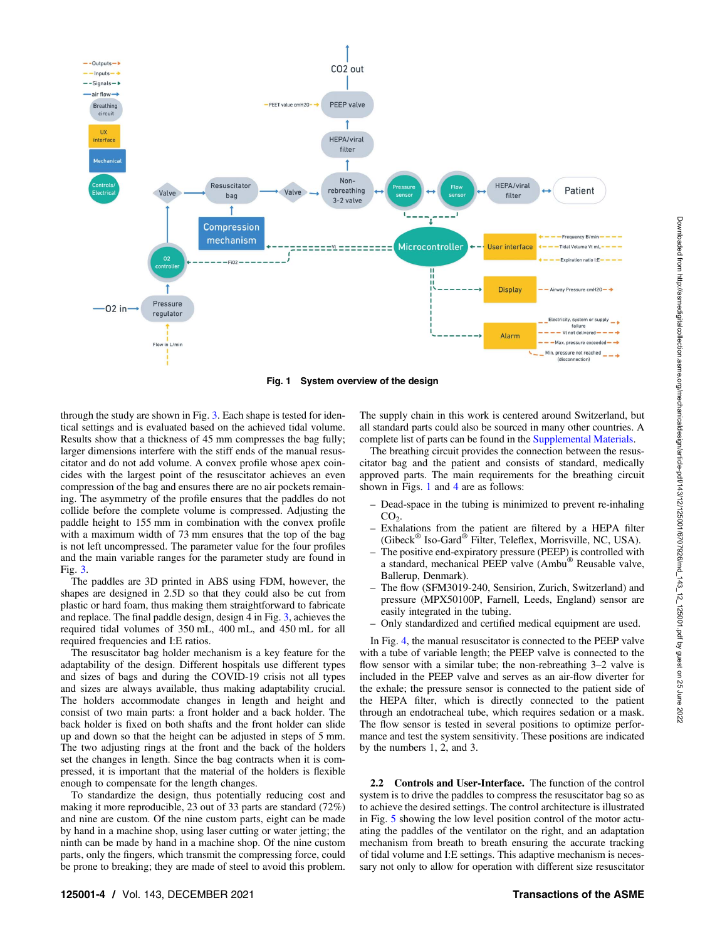<span id="page-3-0"></span>

Fig. 1 System overview of the design

through the study are shown in Fig. [3](#page-4-0). Each shape is tested for identical settings and is evaluated based on the achieved tidal volume. Results show that a thickness of 45 mm compresses the bag fully; larger dimensions interfere with the stiff ends of the manual resuscitator and do not add volume. A convex profile whose apex coincides with the largest point of the resuscitator achieves an even compression of the bag and ensures there are no air pockets remaining. The asymmetry of the profile ensures that the paddles do not collide before the complete volume is compressed. Adjusting the paddle height to 155 mm in combination with the convex profile with a maximum width of 73 mm ensures that the top of the bag is not left uncompressed. The parameter value for the four profiles and the main variable ranges for the parameter study are found in Fig. [3](#page-4-0).

The paddles are 3D printed in ABS using FDM, however, the shapes are designed in 2.5D so that they could also be cut from plastic or hard foam, thus making them straightforward to fabricate and replace. The final paddle design, design 4 in Fig. [3](#page-4-0), achieves the required tidal volumes of 350 mL, 400 mL, and 450 mL for all required frequencies and I:E ratios.

The resuscitator bag holder mechanism is a key feature for the adaptability of the design. Different hospitals use different types and sizes of bags and during the COVID-19 crisis not all types and sizes are always available, thus making adaptability crucial. The holders accommodate changes in length and height and consist of two main parts: a front holder and a back holder. The back holder is fixed on both shafts and the front holder can slide up and down so that the height can be adjusted in steps of 5 mm. The two adjusting rings at the front and the back of the holders set the changes in length. Since the bag contracts when it is compressed, it is important that the material of the holders is flexible enough to compensate for the length changes.

To standardize the design, thus potentially reducing cost and making it more reproducible, 23 out of 33 parts are standard (72%) and nine are custom. Of the nine custom parts, eight can be made by hand in a machine shop, using laser cutting or water jetting; the ninth can be made by hand in a machine shop. Of the nine custom parts, only the fingers, which transmit the compressing force, could be prone to breaking; they are made of steel to avoid this problem.

The supply chain in this work is centered around Switzerland, but all standard parts could also be sourced in many other countries. A complete list of parts can be found in the [Supplemental Materials.](http://dx.doi.org/10.1115/1.4051290)

The breathing circuit provides the connection between the resuscitator bag and the patient and consists of standard, medically approved parts. The main requirements for the breathing circuit shown in Figs. 1 and [4](#page-5-0) are as follows:

- Dead-space in the tubing is minimized to prevent re-inhaling  $CO<sub>2</sub>$ .
- Exhalations from the patient are filtered by a HEPA filter (Gibeck® Iso-Gard® Filter, Teleflex, Morrisville, NC, USA).
- The positive end-expiratory pressure (PEEP) is controlled with a standard, mechanical PEEP valve (Ambu® Reusable valve, Ballerup, Denmark).
- The flow (SFM3019-240, Sensirion, Zurich, Switzerland) and pressure (MPX50100P, Farnell, Leeds, England) sensor are easily integrated in the tubing.
- Only standardized and certified medical equipment are used.

In Fig. [4,](#page-5-0) the manual resuscitator is connected to the PEEP valve with a tube of variable length; the PEEP valve is connected to the flow sensor with a similar tube; the non-rebreathing 3–2 valve is included in the PEEP valve and serves as an air-flow diverter for the exhale; the pressure sensor is connected to the patient side of the HEPA filter, which is directly connected to the patient through an endotracheal tube, which requires sedation or a mask. The flow sensor is tested in several positions to optimize performance and test the system sensitivity. These positions are indicated by the numbers 1, 2, and 3.

2.2 Controls and User-Interface. The function of the control system is to drive the paddles to compress the resuscitator bag so as to achieve the desired settings. The control architecture is illustrated in Fig. [5](#page-6-0) showing the low level position control of the motor actuating the paddles of the ventilator on the right, and an adaptation mechanism from breath to breath ensuring the accurate tracking of tidal volume and I:E settings. This adaptive mechanism is necessary not only to allow for operation with different size resuscitator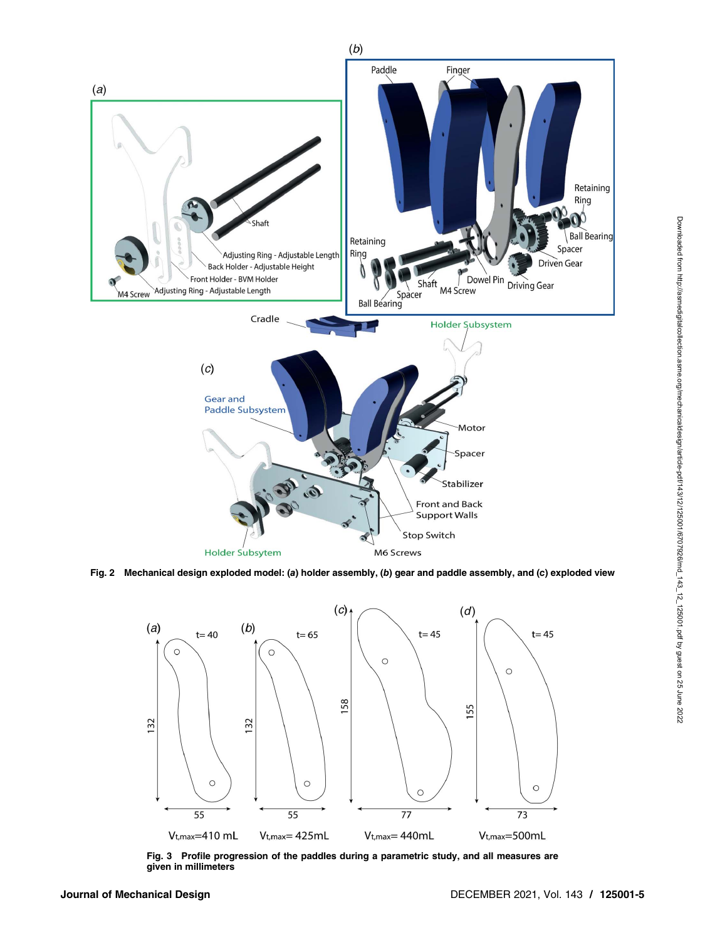<span id="page-4-0"></span>

Fig. 2 Mechanical design exploded model: (a) holder assembly, (b) gear and paddle assembly, and (c) exploded view



Fig. 3 Profile progression of the paddles during a parametric study, and all measures are given in millimeters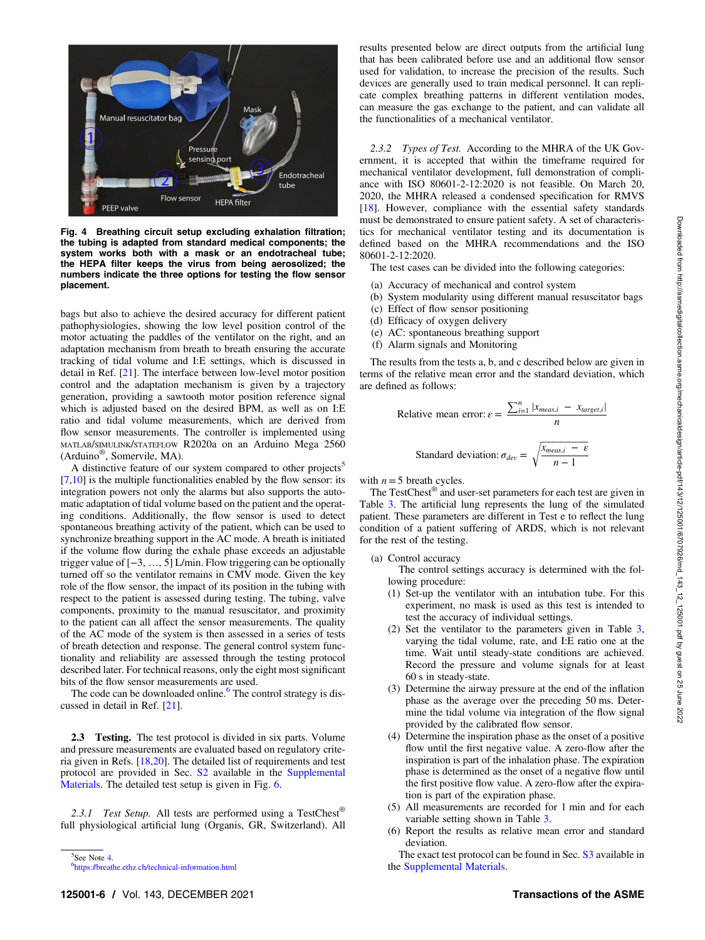<span id="page-5-0"></span>

Fig. 4 Breathing circuit setup excluding exhalation filtration; the tubing is adapted from standard medical components; the system works both with a mask or an endotracheal tube; the HEPA filter keeps the virus from being aerosolized; the numbers indicate the three options for testing the flow sensor placement.

bags but also to achieve the desired accuracy for different patient pathophysiologies, showing the low level position control of the motor actuating the paddles of the ventilator on the right, and an adaptation mechanism from breath to breath ensuring the accurate tracking of tidal volume and I:E settings, which is discussed in detail in Ref. [\[21](#page-11-0)]. The interface between low-level motor position control and the adaptation mechanism is given by a trajectory generation, providing a sawtooth motor position reference signal which is adjusted based on the desired BPM, as well as on I:E ratio and tidal volume measurements, which are derived from flow sensor measurements. The controller is implemented using MATLAB/SIMULINK/STATEFLOW R2020a on an Arduino Mega 2560 (Arduino®, Somervile, MA).

A distinctive feature of our system compared to other projects<sup>5</sup>  $[7,10]$  $[7,10]$  $[7,10]$  $[7,10]$  is the multiple functionalities enabled by the flow sensor: its integration powers not only the alarms but also supports the automatic adaptation of tidal volume based on the patient and the operating conditions. Additionally, the flow sensor is used to detect spontaneous breathing activity of the patient, which can be used to synchronize breathing support in the AC mode. A breath is initiated if the volume flow during the exhale phase exceeds an adjustable trigger value of [−3, …, 5] L/min. Flow triggering can be optionally turned off so the ventilator remains in CMV mode. Given the key role of the flow sensor, the impact of its position in the tubing with respect to the patient is assessed during testing. The tubing, valve components, proximity to the manual resuscitator, and proximity to the patient can all affect the sensor measurements. The quality of the AC mode of the system is then assessed in a series of tests of breath detection and response. The general control system functionality and reliability are assessed through the testing protocol described later. For technical reasons, only the eight most significant bits of the flow sensor measurements are used.

The code can be downloaded online. $6$  The control strategy is discussed in detail in Ref. [[21\]](#page-11-0).

2.3 Testing. The test protocol is divided in six parts. Volume and pressure measurements are evaluated based on regulatory criteria given in Refs. [[18,20\]](#page-11-0). The detailed list of requirements and test protocol are provided in Sec. [S2](http://dx.doi.org/10.1115/1.4051290) available in the [Supplemental](http://dx.doi.org/10.1115/1.4051290) [Materials](http://dx.doi.org/10.1115/1.4051290). The detailed test setup is given in Fig. [6](#page-6-0).

2.3.1 Test Setup. All tests are performed using a TestChest<sup>®</sup> full physiological artificial lung (Organis, GR, Switzerland). All

 $5$ See Note 4.

results presented below are direct outputs from the artificial lung that has been calibrated before use and an additional flow sensor used for validation, to increase the precision of the results. Such devices are generally used to train medical personnel. It can replicate complex breathing patterns in different ventilation modes, can measure the gas exchange to the patient, and can validate all the functionalities of a mechanical ventilator.

2.3.2 Types of Test. According to the MHRA of the UK Government, it is accepted that within the timeframe required for mechanical ventilator development, full demonstration of compliance with ISO 80601-2-12:2020 is not feasible. On March 20, 2020, the MHRA released a condensed specification for RMVS [[18\]](#page-11-0). However, compliance with the essential safety standards must be demonstrated to ensure patient safety. A set of characteristics for mechanical ventilator testing and its documentation is defined based on the MHRA recommendations and the ISO 80601-2-12:2020.

The test cases can be divided into the following categories:

- (a) Accuracy of mechanical and control system
- (b) System modularity using different manual resuscitator bags
- (c) Effect of flow sensor positioning
- (d) Efficacy of oxygen delivery
- (e) AC: spontaneous breathing support
- (f) Alarm signals and Monitoring

The results from the tests a, b, and c described below are given in terms of the relative mean error and the standard deviation, which are defined as follows:

Relative mean error: 
$$
\varepsilon = \frac{\sum_{i=1}^{n} |x_{meas,i} - x_{target,i}|}{n}
$$
  
Standard deviation:  $\sigma_{dev} = \sqrt{\frac{x_{meas,i} - \varepsilon}{n - 1}}$ 

with  $n=5$  breath cycles.

The TestChest® and user-set parameters for each test are given in Table [3.](#page-7-0) The artificial lung represents the lung of the simulated patient. These parameters are different in Test e to reflect the lung condition of a patient suffering of ARDS, which is not relevant for the rest of the testing.

(a) Control accuracy

The control settings accuracy is determined with the following procedure:

- (1) Set-up the ventilator with an intubation tube. For this experiment, no mask is used as this test is intended to test the accuracy of individual settings.
- (2) Set the ventilator to the parameters given in Table [3,](#page-7-0) varying the tidal volume, rate, and I:E ratio one at the time. Wait until steady-state conditions are achieved. Record the pressure and volume signals for at least 60 s in steady-state.
- (3) Determine the airway pressure at the end of the inflation phase as the average over the preceding 50 ms. Determine the tidal volume via integration of the flow signal provided by the calibrated flow sensor.
- (4) Determine the inspiration phase as the onset of a positive flow until the first negative value. A zero-flow after the inspiration is part of the inhalation phase. The expiration phase is determined as the onset of a negative flow until the first positive flow value. A zero-flow after the expiration is part of the expiration phase.
- (5) All measurements are recorded for 1 min and for each variable setting shown in Table [3.](#page-7-0)
- (6) Report the results as relative mean error and standard deviation.

The exact test protocol can be found in Sec. [S3](http://dx.doi.org/10.1115/1.4051290) available in the [Supplemental Materials.](http://dx.doi.org/10.1115/1.4051290)

[https://breathe.ethz.ch/technical-information.html](https://breathe.ethz.ch/technical-information.html.)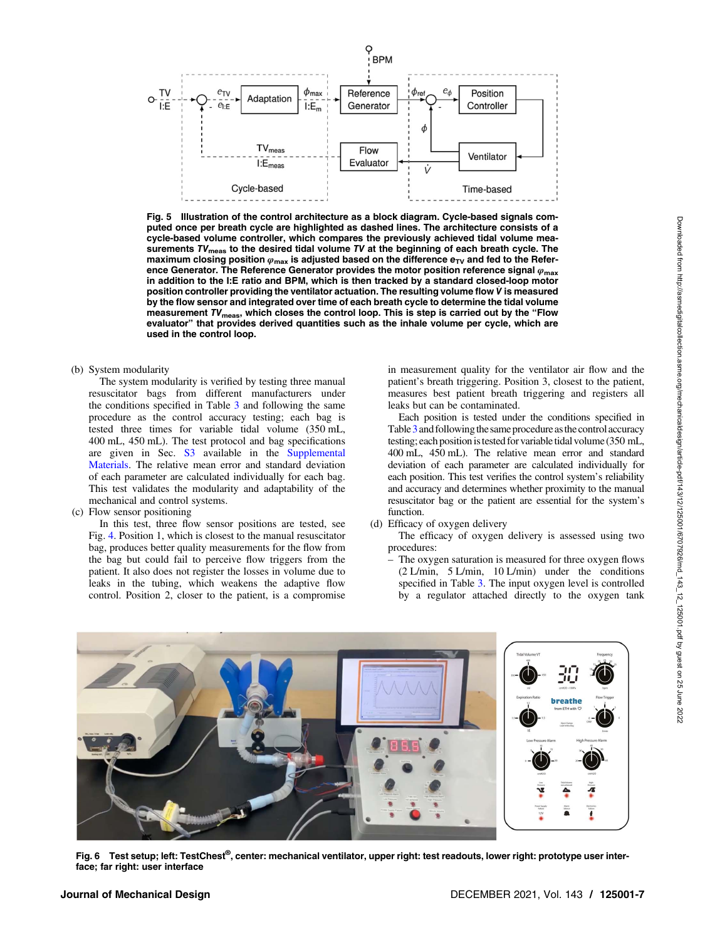<span id="page-6-0"></span>

Fig. 5 Illustration of the control architecture as a block diagram. Cycle-based signals computed once per breath cycle are highlighted as dashed lines. The architecture consists of a cycle-based volume controller, which compares the previously achieved tidal volume measurements TV<sub>meas</sub> to the desired tidal volume TV at the beginning of each breath cycle. The maximum closing position  $\varphi_{\text{max}}$  is adjusted based on the difference  $e_{\text{TV}}$  and fed to the Reference Generator. The Reference Generator provides the motor position reference signal  $\varphi_{\text{max}}$ in addition to the I:E ratio and BPM, which is then tracked by a standard closed-loop motor position controller providing the ventilator actuation. The resulting volume flow V˙ is measured by the flow sensor and integrated over time of each breath cycle to determine the tidal volume measurement  $TV_{\text{meas}}$ , which closes the control loop. This is step is carried out by the "Flow evaluator" that provides derived quantities such as the inhale volume per cycle, which are used in the control loop.

(b) System modularity

The system modularity is verified by testing three manual resuscitator bags from different manufacturers under the conditions specified in Table [3](#page-7-0) and following the same procedure as the control accuracy testing; each bag is tested three times for variable tidal volume (350 mL, 400 mL, 450 mL). The test protocol and bag specifications are given in Sec. [S3](http://dx.doi.org/10.1115/1.4051290) available in the [Supplemental](http://dx.doi.org/10.1115/1.4051290) [Materials](http://dx.doi.org/10.1115/1.4051290). The relative mean error and standard deviation of each parameter are calculated individually for each bag. This test validates the modularity and adaptability of the mechanical and control systems.

(c) Flow sensor positioning

In this test, three flow sensor positions are tested, see Fig. [4.](#page-5-0) Position 1, which is closest to the manual resuscitator bag, produces better quality measurements for the flow from the bag but could fail to perceive flow triggers from the patient. It also does not register the losses in volume due to leaks in the tubing, which weakens the adaptive flow control. Position 2, closer to the patient, is a compromise

in measurement quality for the ventilator air flow and the patient's breath triggering. Position 3, closest to the patient, measures best patient breath triggering and registers all leaks but can be contaminated.

Each position is tested under the conditions specified in Table [3](#page-7-0) and following the same procedure as the control accuracy testing; each position is tested for variable tidal volume (350 mL, 400 mL, 450 mL). The relative mean error and standard deviation of each parameter are calculated individually for each position. This test verifies the control system's reliability and accuracy and determines whether proximity to the manual resuscitator bag or the patient are essential for the system's function.

(d) Efficacy of oxygen delivery

The efficacy of oxygen delivery is assessed using two procedures:

– The oxygen saturation is measured for three oxygen flows (2 L/min, 5 L/min, 10 L/min) under the conditions specified in Table [3](#page-7-0). The input oxygen level is controlled by a regulator attached directly to the oxygen tank



Fig. 6 Test setup; left: TestChest®, center: mechanical ventilator, upper right: test readouts, lower right: prototype user interface; far right: user interface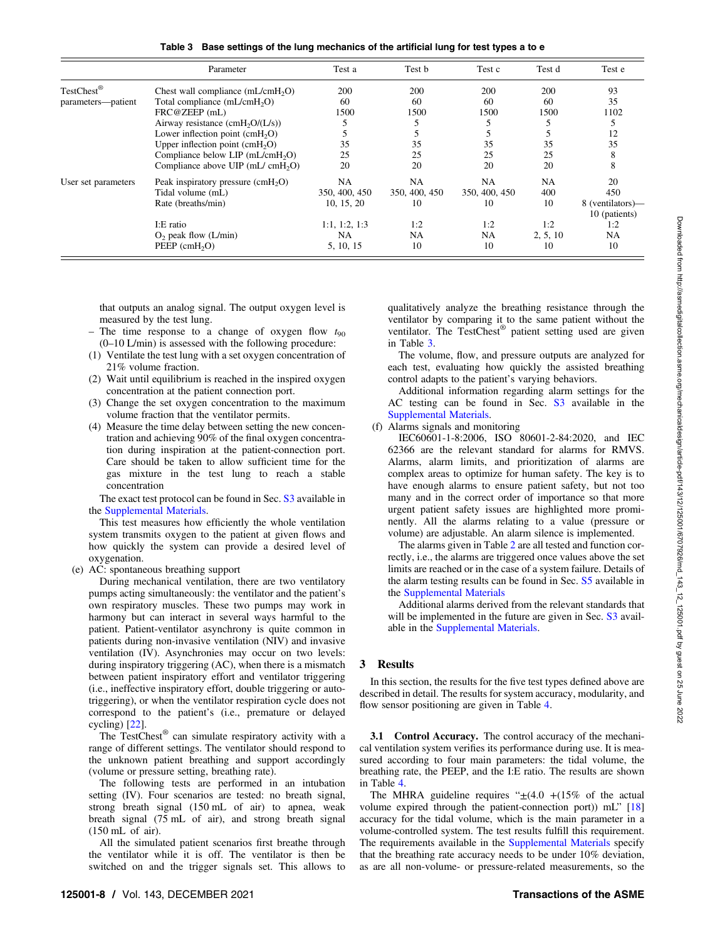Table 3 Base settings of the lung mechanics of the artificial lung for test types a to e

<span id="page-7-0"></span>

|                        | Parameter                                       | Test a        | Test b        | Test c        | Test d    | Test e           |
|------------------------|-------------------------------------------------|---------------|---------------|---------------|-----------|------------------|
| TestChest <sup>®</sup> | Chest wall compliance $(mL/cmH2O)$              | 200           | 200           | 200           | 200       | 93               |
| parameters—patient     | Total compliance (mL/cmH <sub>2</sub> O)        | 60            | 60            | 60            | 60        | 35               |
|                        | FRC@ZEEP (mL)                                   | 1500          | 1500          | 1500          | 1500      | 1102             |
|                        | Airway resistance $(cmH2O/(L/s))$               |               |               |               |           |                  |
|                        | Lower inflection point $(cmH2O)$                |               |               |               |           | 12               |
|                        | Upper inflection point $(cmH2O)$                | 35            | 35            | 35            | 35        | 35               |
|                        | Compliance below LIP $(mL/cmH2O)$               | 25            | 25            | 25            | 25        | 8                |
|                        | Compliance above $UIP$ (mL/ cmH <sub>2</sub> O) | 20            | 20            | 20            | 20        | 8                |
| User set parameters    | Peak inspiratory pressure $(cmH2O)$             | NA            | <b>NA</b>     | NA            | <b>NA</b> | 20               |
|                        | Tidal volume (mL)                               | 350, 400, 450 | 350, 400, 450 | 350, 400, 450 | 400       | 450              |
|                        | Rate (breaths/min)                              | 10, 15, 20    | 10            | 10            | 10        | 8 (ventilators)- |
|                        |                                                 |               |               |               |           | 10 (patients)    |
|                        | I:E ratio                                       | 1:1, 1:2, 1:3 | 1:2           | 1:2           | 1:2       | 1:2              |
|                        | $O2$ peak flow (L/min)                          | NA            | <b>NA</b>     | NA            | 2, 5, 10  | <b>NA</b>        |
|                        | $PEEP$ (cmH <sub>2</sub> O)                     | 5, 10, 15     | 10            | 10            | 10        | 10               |

that outputs an analog signal. The output oxygen level is measured by the test lung.

- The time response to a change of oxygen flow  $t_{90}$ (0–10 L/min) is assessed with the following procedure:
- (1) Ventilate the test lung with a set oxygen concentration of 21% volume fraction.
- (2) Wait until equilibrium is reached in the inspired oxygen concentration at the patient connection port.
- (3) Change the set oxygen concentration to the maximum volume fraction that the ventilator permits.
- (4) Measure the time delay between setting the new concentration and achieving 90% of the final oxygen concentration during inspiration at the patient-connection port. Care should be taken to allow sufficient time for the gas mixture in the test lung to reach a stable concentration

The exact test protocol can be found in Sec. [S3](http://dx.doi.org/10.1115/1.4051290) available in the [Supplemental Materials.](http://dx.doi.org/10.1115/1.4051290)

This test measures how efficiently the whole ventilation system transmits oxygen to the patient at given flows and how quickly the system can provide a desired level of oxygenation.

(e) AC: spontaneous breathing support

During mechanical ventilation, there are two ventilatory pumps acting simultaneously: the ventilator and the patient's own respiratory muscles. These two pumps may work in harmony but can interact in several ways harmful to the patient. Patient-ventilator asynchrony is quite common in patients during non-invasive ventilation (NIV) and invasive ventilation (IV). Asynchronies may occur on two levels: during inspiratory triggering (AC), when there is a mismatch between patient inspiratory effort and ventilator triggering (i.e., ineffective inspiratory effort, double triggering or autotriggering), or when the ventilator respiration cycle does not correspond to the patient's (i.e., premature or delayed cycling) [[22\]](#page-11-0).

The TestChest® can simulate respiratory activity with a range of different settings. The ventilator should respond to the unknown patient breathing and support accordingly (volume or pressure setting, breathing rate).

The following tests are performed in an intubation setting (IV). Four scenarios are tested: no breath signal, strong breath signal (150 mL of air) to apnea, weak breath signal (75 mL of air), and strong breath signal (150 mL of air).

All the simulated patient scenarios first breathe through the ventilator while it is off. The ventilator is then be switched on and the trigger signals set. This allows to qualitatively analyze the breathing resistance through the ventilator by comparing it to the same patient without the ventilator. The TestChest® patient setting used are given in Table 3.

The volume, flow, and pressure outputs are analyzed for each test, evaluating how quickly the assisted breathing control adapts to the patient's varying behaviors.

Additional information regarding alarm settings for the AC testing can be found in Sec. [S3](http://dx.doi.org/10.1115/1.4051290) available in the [Supplemental Materials.](http://dx.doi.org/10.1115/1.4051290)

(f) Alarms signals and monitoring

IEC60601-1-8:2006, ISO 80601-2-84:2020, and IEC 62366 are the relevant standard for alarms for RMVS. Alarms, alarm limits, and prioritization of alarms are complex areas to optimize for human safety. The key is to have enough alarms to ensure patient safety, but not too many and in the correct order of importance so that more urgent patient safety issues are highlighted more prominently. All the alarms relating to a value (pressure or volume) are adjustable. An alarm silence is implemented.

The alarms given in Table [2](#page-2-0) are all tested and function correctly, i.e., the alarms are triggered once values above the set limits are reached or in the case of a system failure. Details of the alarm testing results can be found in Sec. [S5](http://dx.doi.org/10.1115/1.4051290) available in the [Supplemental Materials](http://dx.doi.org/10.1115/1.4051290)

Additional alarms derived from the relevant standards that will be implemented in the future are given in Sec. [S3](http://dx.doi.org/10.1115/1.4051290) available in the [Supplemental Materials.](http://dx.doi.org/10.1115/1.4051290)

#### 3 Results

In this section, the results for the five test types defined above are described in detail. The results for system accuracy, modularity, and flow sensor positioning are given in Table [4](#page-8-0).

3.1 Control Accuracy. The control accuracy of the mechanical ventilation system verifies its performance during use. It is measured according to four main parameters: the tidal volume, the breathing rate, the PEEP, and the I:E ratio. The results are shown in Table [4](#page-8-0).

The MHRA guideline requires " $\pm$ (4.0 +(15% of the actual volume expired through the patient-connection port)) mL" [\[18](#page-11-0)] accuracy for the tidal volume, which is the main parameter in a volume-controlled system. The test results fulfill this requirement. The requirements available in the [Supplemental Materials](http://dx.doi.org/10.1115/1.4051290) specify that the breathing rate accuracy needs to be under 10% deviation, as are all non-volume- or pressure-related measurements, so the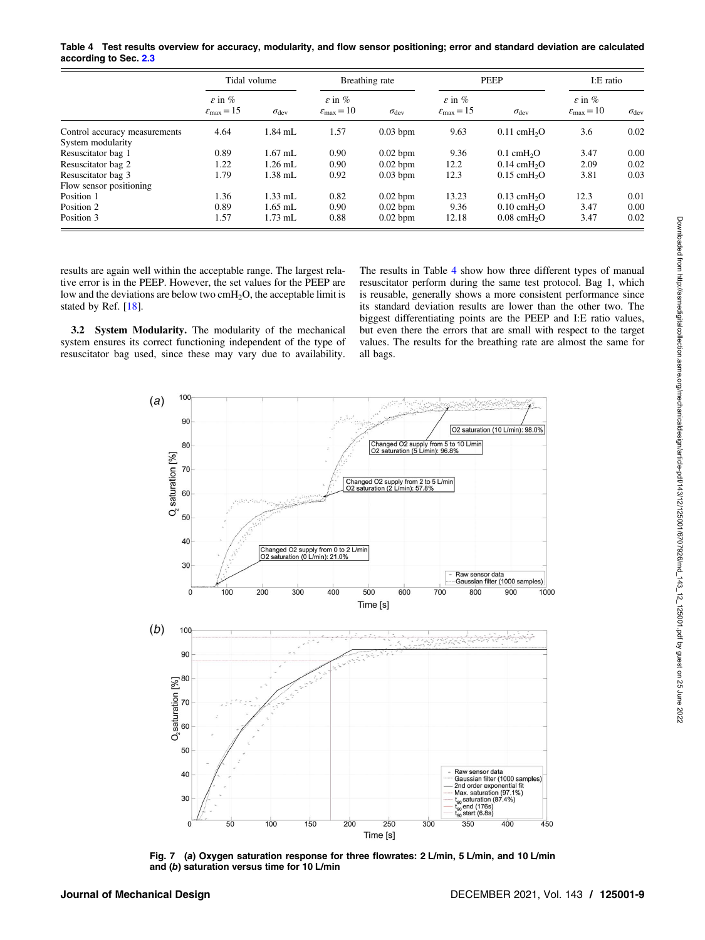<span id="page-8-0"></span>Table 4 Test results overview for accuracy, modularity, and flow sensor positioning; error and standard deviation are calculated according to Sec. [2.3](#page-5-0)

|                                                    | Tidal volume                                             |                    | Breathing rate                                           |                    | PEEP                                                     |                                    | I:E ratio                                                |                    |
|----------------------------------------------------|----------------------------------------------------------|--------------------|----------------------------------------------------------|--------------------|----------------------------------------------------------|------------------------------------|----------------------------------------------------------|--------------------|
|                                                    | $\varepsilon$ in $\%$<br>$\varepsilon_{\text{max}} = 15$ | $\sigma_{\rm dev}$ | $\varepsilon$ in $\%$<br>$\varepsilon_{\text{max}} = 10$ | $\sigma_{\rm dev}$ | $\varepsilon$ in $\%$<br>$\varepsilon_{\text{max}} = 15$ | $\sigma_{\rm dev}$                 | $\varepsilon$ in $\%$<br>$\varepsilon_{\text{max}} = 10$ | $\sigma_{\rm dev}$ |
| Control accuracy measurements<br>System modularity | 4.64                                                     | $1.84$ mL          | 1.57                                                     | $0.03$ bpm         | 9.63                                                     | $0.11$ cmH <sub>2</sub> O          | 3.6                                                      | 0.02               |
| Resuscitator bag 1                                 | 0.89                                                     | $1.67$ mL          | 0.90                                                     | $0.02$ bpm         | 9.36                                                     | $0.1 \text{ cmH}_2$ O              | 3.47                                                     | 0.00               |
| Resuscitator bag 2                                 | 1.22                                                     | $1.26$ mL          | 0.90                                                     | $0.02$ bpm         | 12.2                                                     | $0.14 \text{ cm}H2O$               | 2.09                                                     | 0.02               |
| Resuscitator bag 3                                 | 1.79                                                     | $1.38$ mL          | 0.92                                                     | $0.03$ bpm         | 12.3                                                     | $0.15$ cmH <sub>2</sub> O          | 3.81                                                     | 0.03               |
| Flow sensor positioning                            |                                                          |                    |                                                          |                    |                                                          |                                    |                                                          |                    |
| Position 1                                         | 1.36                                                     | $1.33$ mL          | 0.82                                                     | $0.02$ bpm         | 13.23                                                    | $0.13$ cmH <sub>2</sub> O          | 12.3                                                     | 0.01               |
| Position 2                                         | 0.89                                                     | $1.65$ mL          | 0.90                                                     | $0.02$ bpm         | 9.36                                                     | $0.10 \text{ cm}$ H <sub>2</sub> O | 3.47                                                     | 0.00               |
| Position 3                                         | 1.57                                                     | $1.73$ mL          | 0.88                                                     | $0.02$ bpm         | 12.18                                                    | $0.08$ cmH <sub>2</sub> O          | 3.47                                                     | 0.02               |

results are again well within the acceptable range. The largest relative error is in the PEEP. However, the set values for the PEEP are low and the deviations are below two  $cmH<sub>2</sub>O$ , the acceptable limit is stated by Ref. [[18\]](#page-11-0).

3.2 System Modularity. The modularity of the mechanical system ensures its correct functioning independent of the type of resuscitator bag used, since these may vary due to availability. The results in Table 4 show how three different types of manual resuscitator perform during the same test protocol. Bag 1, which is reusable, generally shows a more consistent performance since its standard deviation results are lower than the other two. The biggest differentiating points are the PEEP and I:E ratio values, but even there the errors that are small with respect to the target values. The results for the breathing rate are almost the same for all bags.



Fig. 7 (a) Oxygen saturation response for three flowrates: 2 L/min, 5 L/min, and 10 L/min and (b) saturation versus time for 10 L/min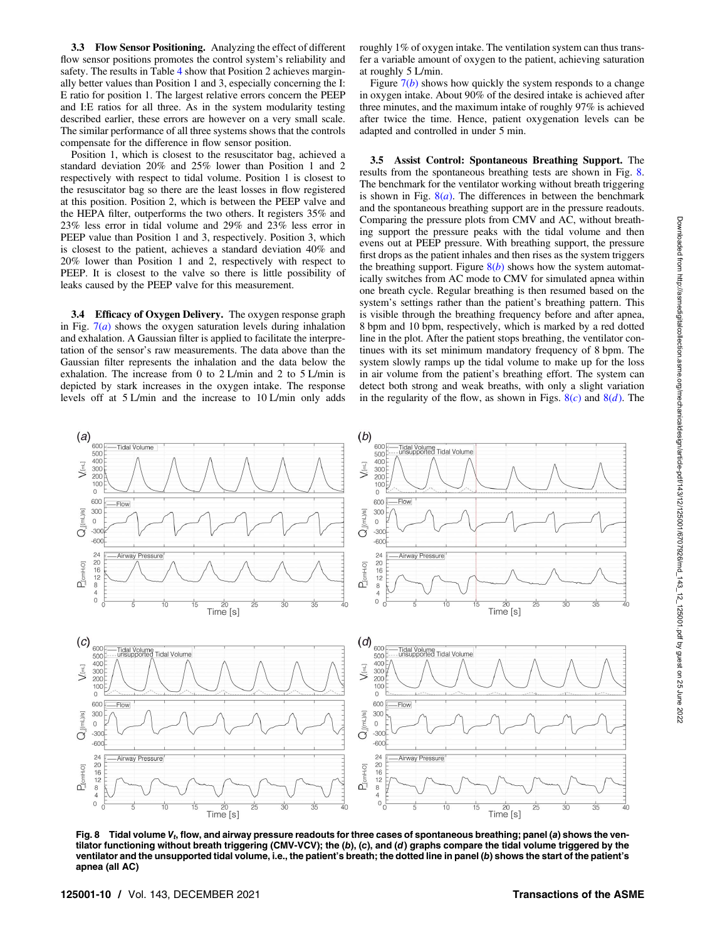3.3 Flow Sensor Positioning. Analyzing the effect of different flow sensor positions promotes the control system's reliability and safety. The results in Table [4](#page-8-0) show that Position 2 achieves marginally better values than Position 1 and 3, especially concerning the I: E ratio for position 1. The largest relative errors concern the PEEP and I:E ratios for all three. As in the system modularity testing described earlier, these errors are however on a very small scale. The similar performance of all three systems shows that the controls compensate for the difference in flow sensor position.

Position 1, which is closest to the resuscitator bag, achieved a standard deviation 20% and 25% lower than Position 1 and 2 respectively with respect to tidal volume. Position 1 is closest to the resuscitator bag so there are the least losses in flow registered at this position. Position 2, which is between the PEEP valve and the HEPA filter, outperforms the two others. It registers 35% and 23% less error in tidal volume and 29% and 23% less error in PEEP value than Position 1 and 3, respectively. Position 3, which is closest to the patient, achieves a standard deviation 40% and 20% lower than Position 1 and 2, respectively with respect to PEEP. It is closest to the valve so there is little possibility of leaks caused by the PEEP valve for this measurement.

3.4 Efficacy of Oxygen Delivery. The oxygen response graph in Fig.  $7(a)$  $7(a)$  shows the oxygen saturation levels during inhalation and exhalation. A Gaussian filter is applied to facilitate the interpretation of the sensor's raw measurements. The data above than the Gaussian filter represents the inhalation and the data below the exhalation. The increase from 0 to 2 L/min and 2 to 5 L/min is depicted by stark increases in the oxygen intake. The response levels off at 5 L/min and the increase to 10 L/min only adds

roughly 1% of oxygen intake. The ventilation system can thus transfer a variable amount of oxygen to the patient, achieving saturation at roughly 5 L/min.

Figure  $7(b)$  $7(b)$  shows how quickly the system responds to a change in oxygen intake. About 90% of the desired intake is achieved after three minutes, and the maximum intake of roughly 97% is achieved after twice the time. Hence, patient oxygenation levels can be adapted and controlled in under 5 min.

3.5 Assist Control: Spontaneous Breathing Support. The results from the spontaneous breathing tests are shown in Fig. 8. The benchmark for the ventilator working without breath triggering is shown in Fig.  $8(a)$ . The differences in between the benchmark and the spontaneous breathing support are in the pressure readouts. Comparing the pressure plots from CMV and AC, without breathing support the pressure peaks with the tidal volume and then evens out at PEEP pressure. With breathing support, the pressure first drops as the patient inhales and then rises as the system triggers the breathing support. Figure  $8(b)$  shows how the system automatically switches from AC mode to CMV for simulated apnea within one breath cycle. Regular breathing is then resumed based on the system's settings rather than the patient's breathing pattern. This is visible through the breathing frequency before and after apnea, 8 bpm and 10 bpm, respectively, which is marked by a red dotted line in the plot. After the patient stops breathing, the ventilator continues with its set minimum mandatory frequency of 8 bpm. The system slowly ramps up the tidal volume to make up for the loss in air volume from the patient's breathing effort. The system can detect both strong and weak breaths, with only a slight variation in the regularity of the flow, as shown in Figs.  $8(c)$  and  $8(d)$ . The



Fig. 8 Tidal volume  $V_t$ , flow, and airway pressure readouts for three cases of spontaneous breathing; panel (a) shows the ventilator functioning without breath triggering (CMV-VCV); the (b), (c), and (d) graphs compare the tidal volume triggered by the ventilator and the unsupported tidal volume, i.e., the patient's breath; the dotted line in panel (b) shows the start of the patient's apnea (all AC)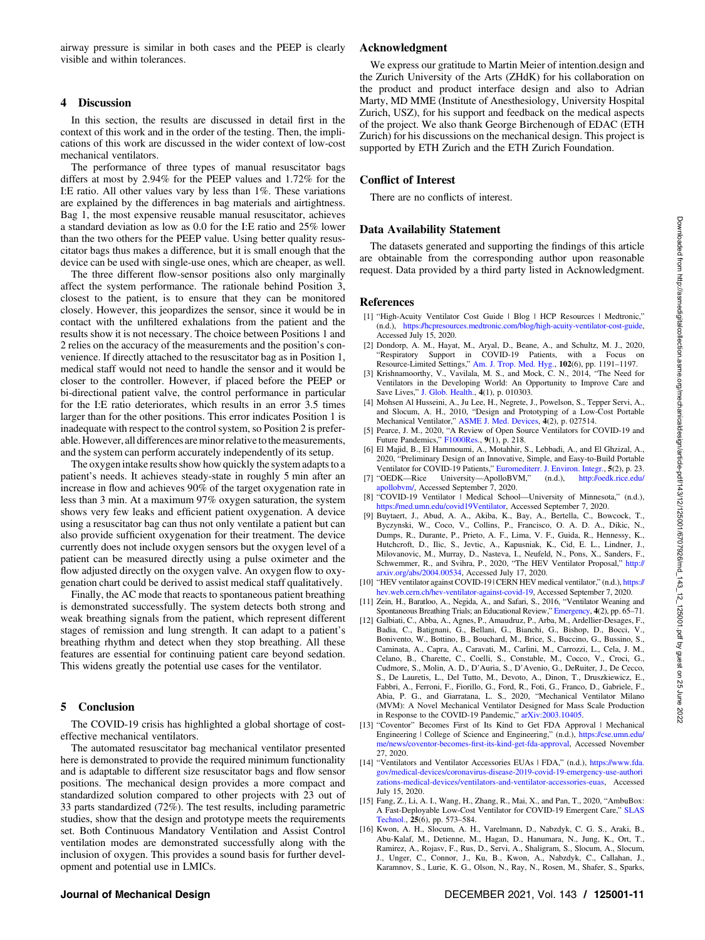<span id="page-10-0"></span>airway pressure is similar in both cases and the PEEP is clearly visible and within tolerances.

#### 4 Discussion

In this section, the results are discussed in detail first in the context of this work and in the order of the testing. Then, the implications of this work are discussed in the wider context of low-cost mechanical ventilators.

The performance of three types of manual resuscitator bags differs at most by 2.94% for the PEEP values and 1.72% for the I:E ratio. All other values vary by less than 1%. These variations are explained by the differences in bag materials and airtightness. Bag 1, the most expensive reusable manual resuscitator, achieves a standard deviation as low as 0.0 for the I:E ratio and 25% lower than the two others for the PEEP value. Using better quality resuscitator bags thus makes a difference, but it is small enough that the device can be used with single-use ones, which are cheaper, as well.

The three different flow-sensor positions also only marginally affect the system performance. The rationale behind Position 3, closest to the patient, is to ensure that they can be monitored closely. However, this jeopardizes the sensor, since it would be in contact with the unfiltered exhalations from the patient and the results show it is not necessary. The choice between Positions 1 and 2 relies on the accuracy of the measurements and the position's convenience. If directly attached to the resuscitator bag as in Position 1, medical staff would not need to handle the sensor and it would be closer to the controller. However, if placed before the PEEP or bi-directional patient valve, the control performance in particular for the I:E ratio deteriorates, which results in an error 3.5 times larger than for the other positions. This error indicates Position 1 is inadequate with respect to the control system, so Position 2 is preferable. However, all differences are minor relative to the measurements, and the system can perform accurately independently of its setup.

The oxygen intake results show how quickly the system adapts to a patient's needs. It achieves steady-state in roughly 5 min after an increase in flow and achieves 90% of the target oxygenation rate in less than 3 min. At a maximum 97% oxygen saturation, the system shows very few leaks and efficient patient oxygenation. A device using a resuscitator bag can thus not only ventilate a patient but can also provide sufficient oxygenation for their treatment. The device currently does not include oxygen sensors but the oxygen level of a patient can be measured directly using a pulse oximeter and the flow adjusted directly on the oxygen valve. An oxygen flow to oxygenation chart could be derived to assist medical staff qualitatively.

Finally, the AC mode that reacts to spontaneous patient breathing is demonstrated successfully. The system detects both strong and weak breathing signals from the patient, which represent different stages of remission and lung strength. It can adapt to a patient's breathing rhythm and detect when they stop breathing. All these features are essential for continuing patient care beyond sedation. This widens greatly the potential use cases for the ventilator.

#### 5 Conclusion

The COVID-19 crisis has highlighted a global shortage of costeffective mechanical ventilators.

The automated resuscitator bag mechanical ventilator presented here is demonstrated to provide the required minimum functionality and is adaptable to different size resuscitator bags and flow sensor positions. The mechanical design provides a more compact and standardized solution compared to other projects with 23 out of 33 parts standardized (72%). The test results, including parametric studies, show that the design and prototype meets the requirements set. Both Continuous Mandatory Ventilation and Assist Control ventilation modes are demonstrated successfully along with the inclusion of oxygen. This provides a sound basis for further development and potential use in LMICs.

#### Acknowledgment

We express our gratitude to Martin Meier of intention.design and the Zurich University of the Arts (ZHdK) for his collaboration on the product and product interface design and also to Adrian Marty, MD MME (Institute of Anesthesiology, University Hospital Zurich, USZ), for his support and feedback on the medical aspects of the project. We also thank George Birchenough of EDAC (ETH Zurich) for his discussions on the mechanical design. This project is supported by ETH Zurich and the ETH Zurich Foundation.

#### Conflict of Interest

There are no conflicts of interest.

#### Data Availability Statement

The datasets generated and supporting the findings of this article are obtainable from the corresponding author upon reasonable request. Data provided by a third party listed in Acknowledgment.

#### References

- [1] "High-Acuity Ventilator Cost Guide | Blog | HCP Resources | Medtronic," (n.d.), <https://hcpresources.medtronic.com/blog/high-acuity-ventilator-cost-guide>, Accessed July 15, 2020.
- [2] Dondorp, A. M., Hayat, M., Aryal, D., Beane, A., and Schultz, M. J., 2020, "Respiratory Support in COVID-19 Patients, with a Focus on Resource-Limited Settings," [Am. J. Trop. Med. Hyg.](http://dx.doi.org/10.4269/ajtmh.20-0283), 102(6), pp. 1191–1197.<br>[3] Krishnamoorthy, V., Vavilala, M. S., and Mock, C. N., 2014, "The Need for
- Ventilators in the Developing World: An Opportunity to Improve Care and Save Lives," [J. Glob. Health.,](http://dx.doi.org/10.7189/jogh.04.010303) 4(1), p. 010303.
- [4] Mohsen Al Husseini, A., Ju Lee, H., Negrete, J., Powelson, S., Tepper Servi, A., and Slocum, A. H., 2010, "Design and Prototyping of a Low-Cost Portable Mechanical Ventilator," [ASME J. Med. Devices](https://dx.doi.org/10.1115/1.3442790), 4(2), p. 027514.
- [5] Pearce, J. M., 2020, "A Review of Open Source Ventilators for COVID-19 and Future Pandemics," [F1000Res.](https://dx.doi.org/10.1268), 9(1), p. 218.
- [6] El Majid, B., El Hammoumi, A., Motahhir, S., Lebbadi, A., and El Ghzizal, A., 2020, "Preliminary Design of an Innovative, Simple, and Easy-to-Build Portable Ventilator for COVID-19 Patients," [Euromediterr. J. Environ. Integr.,](http://dx.doi.org/10.1007/s41207-020-00163-1) 5(2), p. 23.
- [7] "OEDK—Rice University—ApolloBVM," (n.d.), [http://oedk.rice.edu/](http://oedk.rice.edu/apollobvm/.) pollobvm/, Accessed September 7, 2020.
- [8] "COVID-19 Ventilator | Medical School—University of Minnesota," (n.d.), <https://med.umn.edu/covid19Ventilator>, Accessed September 7, 2020.
- [9] Buytaert, J., Abud, A. A., Akiba, K., Bay, A., Bertella, C., Bowcock, T., Byczynski, W., Coco, V., Collins, P., Francisco, O. A. D. A., Dikic, N., Dumps, R., Durante, P., Prieto, A. F., Lima, V. F., Guida, R., Hennessy, K., Hutchcroft, D., Ilic, S., Jevtic, A., Kapusniak, K., Cid, E. L., Lindner, J., Milovanovic, M., Murray, D., Nasteva, I., Neufeld, N., Pons, X., Sanders, F., Schwemmer, R., and Svihra, P., 2020, "The HEV Ventilator Proposal," [http://](http://arxiv.org/abs/2004.00534) [arxiv.org/abs/2004.00534,](http://arxiv.org/abs/2004.00534) Accessed July 17, 2020.
- [10] "HEV ventilator against COVID-19 | CERN HEV medical ventilator," (n.d.), [https://](https://hev.web.cern.ch/hev-ventilator-against-covid-19) [hev.web.cern.ch/hev-ventilator-against-covid-19](https://hev.web.cern.ch/hev-ventilator-against-covid-19), Accessed September 7, 2020.
- [11] Zein, H., Baratloo, A., Negida, A., and Safari, S., 2016, "Ventilator Weaning and Spontaneous Breathing Trials; an Educational Review," [Emergency](https://dx.doi.org/10.2203), 4(2), pp. 65-71.
- [12] Galbiati, C., Abba, A., Agnes, P., Amaudruz, P., Arba, M., Ardellier-Desages, F., Badia, C., Batignani, G., Bellani, G., Bianchi, G., Bishop, D., Bocci, V., Bonivento, W., Bottino, B., Bouchard, M., Brice, S., Buccino, G., Bussino, S., Caminata, A., Capra, A., Caravati, M., Carlini, M., Carrozzi, L., Cela, J. M., Celano, B., Charette, C., Coelli, S., Constable, M., Cocco, V., Croci, G., Cudmore, S., Molin, A. D., D'Auria, S., D'Avenio, G., DeRuiter, J., De Cecco, S., De Lauretis, L., Del Tutto, M., Devoto, A., Dinon, T., Druszkiewicz, E., Fabbri, A., Ferroni, F., Fiorillo, G., Ford, R., Foti, G., Franco, D., Gabriele, F., Abia, P. G., and Giarratana, L. S., 2020, "Mechanical Ventilator Milano (MVM): A Novel Mechanical Ventilator Designed for Mass Scale Production in Response to the COVID-19 Pandemic," [arXiv:2003.10405](http://arxiv.org/abs/2003.10405).
- [13] "Coventor" Becomes First of Its Kind to Get FDA Approval | Mechanical Engineering | College of Science and Engineering," (n.d.), [https://cse.umn.edu/](https://cse.umn.edu/me/news/coventor-becomes-first-its-kind-get-fda-approval) [me/news/coventor-becomes-](https://cse.umn.edu/me/news/coventor-becomes-first-its-kind-get-fda-approval)first-its-kind-get-fda-approval, Accessed November 27, 2020.
- [14] "Ventilators and Ventilator Accessories EUAs | FDA," (n.d.), [https://www.fda.](https://www.fda.gov/medical-devices/coronavirus-disease-2019-covid-19-emergency-use-authorizations-medical-devices/ventilators-and-ventilator-accessories-euas) [gov/medical-devices/coronavirus-disease-2019-covid-19-emergency-use-authori](https://www.fda.gov/medical-devices/coronavirus-disease-2019-covid-19-emergency-use-authorizations-medical-devices/ventilators-and-ventilator-accessories-euas) [zations-medical-devices/ventilators-and-ventilator-accessories-euas](https://www.fda.gov/medical-devices/coronavirus-disease-2019-covid-19-emergency-use-authorizations-medical-devices/ventilators-and-ventilator-accessories-euas), Accessed July 15, 2020.
- [15] Fang, Z., Li, A. I., Wang, H., Zhang, R., Mai, X., and Pan, T., 2020, "AmbuBox: A Fast-Deployable Low-Cost Ventilator for COVID-19 Emergent Care," [SLAS](http://dx.doi.org/10.1177/2472630320953801) [Technol.,](http://dx.doi.org/10.1177/2472630320953801) 25(6), pp. 573–584.
- [16] Kwon, A. H., Slocum, A. H., Varelmann, D., Nabzdyk, C. G. S., Araki, B., Abu-Kalaf, M., Detienne, M., Hagan, D., Hanumara, N., Jung, K., Ort, T., Ramirez, A., Rojasv, F., Rus, D., Servi, A., Shaligram, S., Slocum, A., Slocum, J., Unger, C., Connor, J., Ku, B., Kwon, A., Nabzdyk, C., Callahan, J., Karamnov, S., Lurie, K. G., Olson, N., Ray, N., Rosen, M., Shafer, S., Sparks,